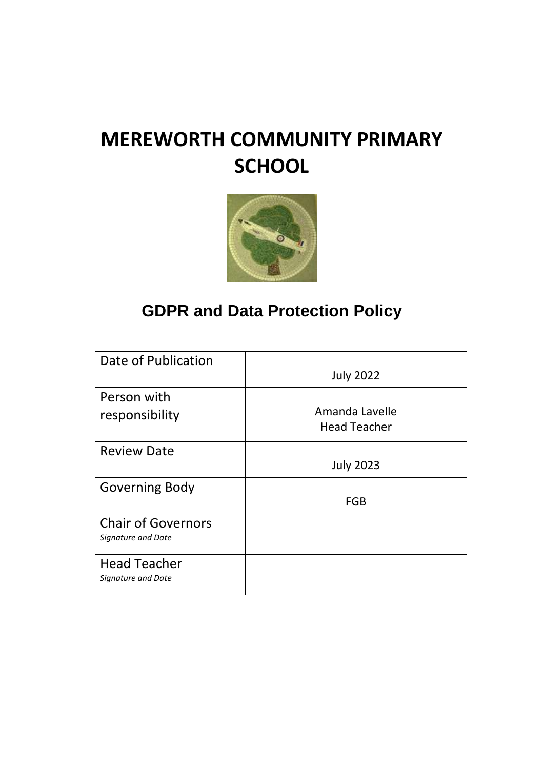# **MEREWORTH COMMUNITY PRIMARY SCHOOL**



# **GDPR and Data Protection Policy**

| Date of Publication       |                     |
|---------------------------|---------------------|
|                           | <b>July 2022</b>    |
| Person with               |                     |
| responsibility            | Amanda Lavelle      |
|                           | <b>Head Teacher</b> |
| <b>Review Date</b>        |                     |
|                           | <b>July 2023</b>    |
| <b>Governing Body</b>     |                     |
|                           | <b>FGB</b>          |
| <b>Chair of Governors</b> |                     |
| Signature and Date        |                     |
| <b>Head Teacher</b>       |                     |
| Signature and Date        |                     |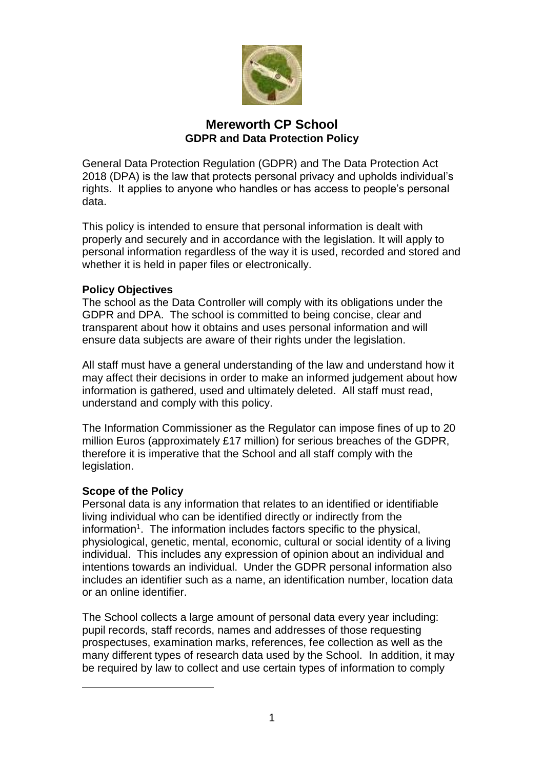

### **Mereworth CP School GDPR and Data Protection Policy**

General Data Protection Regulation (GDPR) and The Data Protection Act 2018 (DPA) is the law that protects personal privacy and upholds individual's rights. It applies to anyone who handles or has access to people's personal data.

This policy is intended to ensure that personal information is dealt with properly and securely and in accordance with the legislation. It will apply to personal information regardless of the way it is used, recorded and stored and whether it is held in paper files or electronically.

#### **Policy Objectives**

The school as the Data Controller will comply with its obligations under the GDPR and DPA. The school is committed to being concise, clear and transparent about how it obtains and uses personal information and will ensure data subjects are aware of their rights under the legislation.

All staff must have a general understanding of the law and understand how it may affect their decisions in order to make an informed judgement about how information is gathered, used and ultimately deleted. All staff must read, understand and comply with this policy.

The Information Commissioner as the Regulator can impose fines of up to 20 million Euros (approximately £17 million) for serious breaches of the GDPR, therefore it is imperative that the School and all staff comply with the legislation.

#### **Scope of the Policy**

<u>.</u>

Personal data is any information that relates to an identified or identifiable living individual who can be identified directly or indirectly from the information<sup>1</sup>. The information includes factors specific to the physical, physiological, genetic, mental, economic, cultural or social identity of a living individual. This includes any expression of opinion about an individual and intentions towards an individual. Under the GDPR personal information also includes an identifier such as a name, an identification number, location data or an online identifier.

The School collects a large amount of personal data every year including: pupil records, staff records, names and addresses of those requesting prospectuses, examination marks, references, fee collection as well as the many different types of research data used by the School. In addition, it may be required by law to collect and use certain types of information to comply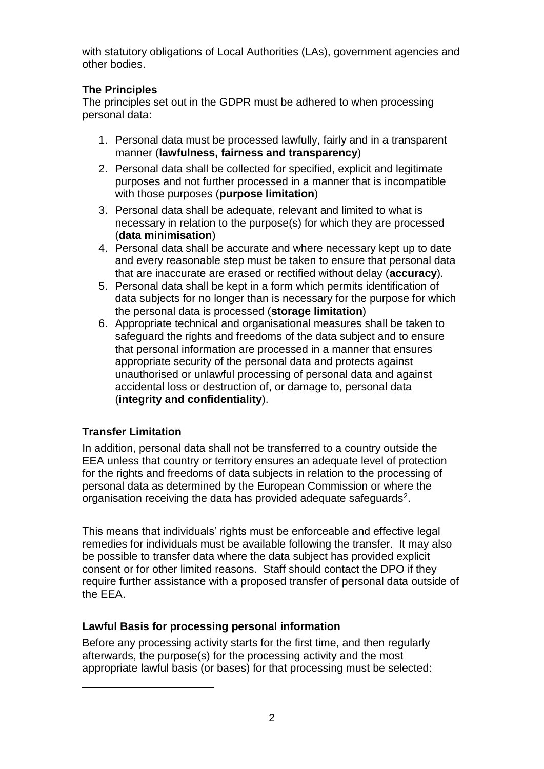with statutory obligations of Local Authorities (LAs), government agencies and other bodies.

# **The Principles**

The principles set out in the GDPR must be adhered to when processing personal data:

- 1. Personal data must be processed lawfully, fairly and in a transparent manner (**lawfulness, fairness and transparency**)
- 2. Personal data shall be collected for specified, explicit and legitimate purposes and not further processed in a manner that is incompatible with those purposes (**purpose limitation**)
- 3. Personal data shall be adequate, relevant and limited to what is necessary in relation to the purpose(s) for which they are processed (**data minimisation**)
- 4. Personal data shall be accurate and where necessary kept up to date and every reasonable step must be taken to ensure that personal data that are inaccurate are erased or rectified without delay (**accuracy**).
- 5. Personal data shall be kept in a form which permits identification of data subjects for no longer than is necessary for the purpose for which the personal data is processed (**storage limitation**)
- 6. Appropriate technical and organisational measures shall be taken to safeguard the rights and freedoms of the data subject and to ensure that personal information are processed in a manner that ensures appropriate security of the personal data and protects against unauthorised or unlawful processing of personal data and against accidental loss or destruction of, or damage to, personal data (**integrity and confidentiality**).

# **Transfer Limitation**

<u>.</u>

In addition, personal data shall not be transferred to a country outside the EEA unless that country or territory ensures an adequate level of protection for the rights and freedoms of data subjects in relation to the processing of personal data as determined by the European Commission or where the organisation receiving the data has provided adequate safeguards<sup>2</sup>.

This means that individuals' rights must be enforceable and effective legal remedies for individuals must be available following the transfer. It may also be possible to transfer data where the data subject has provided explicit consent or for other limited reasons. Staff should contact the DPO if they require further assistance with a proposed transfer of personal data outside of the EEA.

# **Lawful Basis for processing personal information**

Before any processing activity starts for the first time, and then regularly afterwards, the purpose(s) for the processing activity and the most appropriate lawful basis (or bases) for that processing must be selected: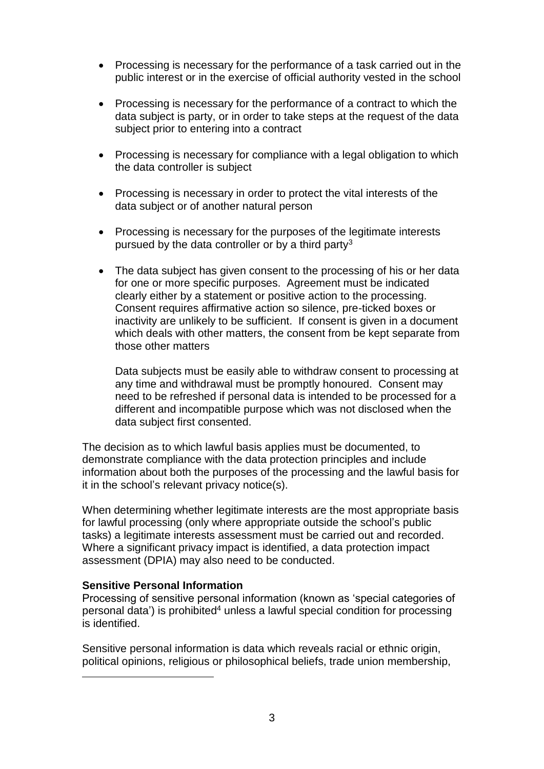- Processing is necessary for the performance of a task carried out in the public interest or in the exercise of official authority vested in the school
- Processing is necessary for the performance of a contract to which the data subject is party, or in order to take steps at the request of the data subject prior to entering into a contract
- Processing is necessary for compliance with a legal obligation to which the data controller is subject
- Processing is necessary in order to protect the vital interests of the data subject or of another natural person
- Processing is necessary for the purposes of the legitimate interests pursued by the data controller or by a third party<sup>3</sup>
- The data subject has given consent to the processing of his or her data for one or more specific purposes. Agreement must be indicated clearly either by a statement or positive action to the processing. Consent requires affirmative action so silence, pre-ticked boxes or inactivity are unlikely to be sufficient. If consent is given in a document which deals with other matters, the consent from be kept separate from those other matters

Data subjects must be easily able to withdraw consent to processing at any time and withdrawal must be promptly honoured. Consent may need to be refreshed if personal data is intended to be processed for a different and incompatible purpose which was not disclosed when the data subject first consented.

The decision as to which lawful basis applies must be documented, to demonstrate compliance with the data protection principles and include information about both the purposes of the processing and the lawful basis for it in the school's relevant privacy notice(s).

When determining whether legitimate interests are the most appropriate basis for lawful processing (only where appropriate outside the school's public tasks) a legitimate interests assessment must be carried out and recorded. Where a significant privacy impact is identified, a data protection impact assessment (DPIA) may also need to be conducted.

#### **Sensitive Personal Information**

1

Processing of sensitive personal information (known as 'special categories of personal data') is prohibited<sup>4</sup> unless a lawful special condition for processing is identified.

Sensitive personal information is data which reveals racial or ethnic origin, political opinions, religious or philosophical beliefs, trade union membership,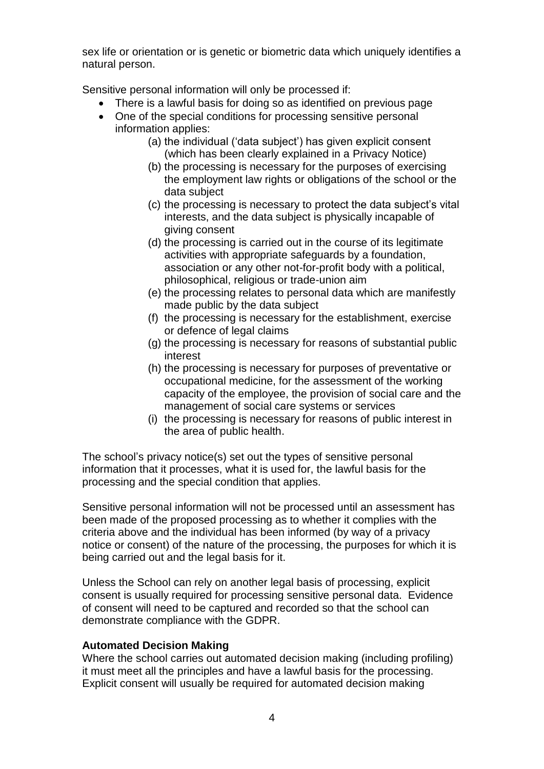sex life or orientation or is genetic or biometric data which uniquely identifies a natural person.

Sensitive personal information will only be processed if:

- There is a lawful basis for doing so as identified on previous page
- One of the special conditions for processing sensitive personal information applies:
	- (a) the individual ('data subject') has given explicit consent (which has been clearly explained in a Privacy Notice)
	- (b) the processing is necessary for the purposes of exercising the employment law rights or obligations of the school or the data subject
	- (c) the processing is necessary to protect the data subject's vital interests, and the data subject is physically incapable of giving consent
	- (d) the processing is carried out in the course of its legitimate activities with appropriate safeguards by a foundation, association or any other not-for-profit body with a political, philosophical, religious or trade-union aim
	- (e) the processing relates to personal data which are manifestly made public by the data subject
	- (f) the processing is necessary for the establishment, exercise or defence of legal claims
	- (g) the processing is necessary for reasons of substantial public interest
	- (h) the processing is necessary for purposes of preventative or occupational medicine, for the assessment of the working capacity of the employee, the provision of social care and the management of social care systems or services
	- (i) the processing is necessary for reasons of public interest in the area of public health.

The school's privacy notice(s) set out the types of sensitive personal information that it processes, what it is used for, the lawful basis for the processing and the special condition that applies.

Sensitive personal information will not be processed until an assessment has been made of the proposed processing as to whether it complies with the criteria above and the individual has been informed (by way of a privacy notice or consent) of the nature of the processing, the purposes for which it is being carried out and the legal basis for it.

Unless the School can rely on another legal basis of processing, explicit consent is usually required for processing sensitive personal data. Evidence of consent will need to be captured and recorded so that the school can demonstrate compliance with the GDPR.

#### **Automated Decision Making**

Where the school carries out automated decision making (including profiling) it must meet all the principles and have a lawful basis for the processing. Explicit consent will usually be required for automated decision making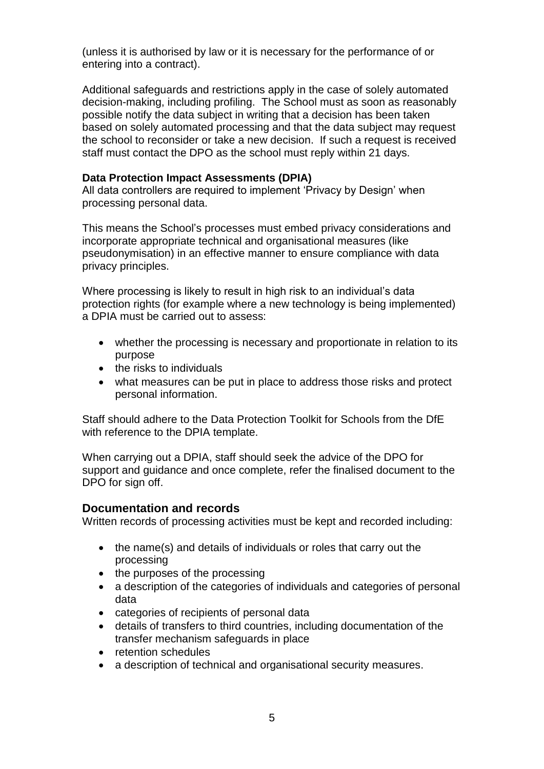(unless it is authorised by law or it is necessary for the performance of or entering into a contract).

Additional safeguards and restrictions apply in the case of solely automated decision-making, including profiling. The School must as soon as reasonably possible notify the data subject in writing that a decision has been taken based on solely automated processing and that the data subject may request the school to reconsider or take a new decision. If such a request is received staff must contact the DPO as the school must reply within 21 days.

#### **Data Protection Impact Assessments (DPIA)**

All data controllers are required to implement 'Privacy by Design' when processing personal data.

This means the School's processes must embed privacy considerations and incorporate appropriate technical and organisational measures (like pseudonymisation) in an effective manner to ensure compliance with data privacy principles.

Where processing is likely to result in high risk to an individual's data protection rights (for example where a new technology is being implemented) a DPIA must be carried out to assess:

- whether the processing is necessary and proportionate in relation to its purpose
- the risks to individuals
- what measures can be put in place to address those risks and protect personal information.

Staff should adhere to the Data Protection Toolkit for Schools from the DfE with reference to the DPIA template.

When carrying out a DPIA, staff should seek the advice of the DPO for support and guidance and once complete, refer the finalised document to the DPO for sign off.

#### **Documentation and records**

Written records of processing activities must be kept and recorded including:

- the name(s) and details of individuals or roles that carry out the processing
- the purposes of the processing
- a description of the categories of individuals and categories of personal data
- categories of recipients of personal data
- details of transfers to third countries, including documentation of the transfer mechanism safeguards in place
- retention schedules
- a description of technical and organisational security measures.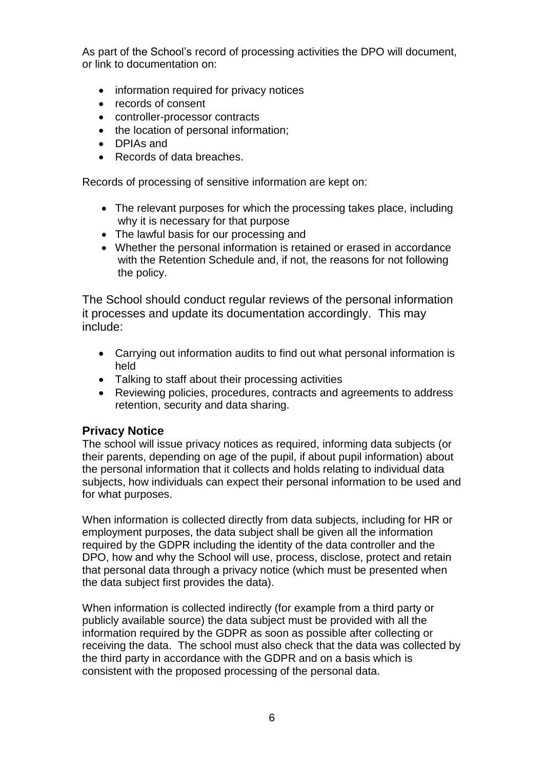As part of the School's record of processing activities the DPO will document, or link to documentation on:

- information required for privacy notices
- records of consent
- controller-processor contracts
- the location of personal information;
- **DPIAs and**
- Records of data breaches.

Records of processing of sensitive information are kept on:

- The relevant purposes for which the processing takes place, including why it is necessary for that purpose
- The lawful basis for our processing and
- Whether the personal information is retained or erased in accordance with the Retention Schedule and, if not, the reasons for not following the policy.

The School should conduct regular reviews of the personal information it processes and update its documentation accordingly. This may include:

- Carrying out information audits to find out what personal information is held
- Talking to staff about their processing activities
- Reviewing policies, procedures, contracts and agreements to address retention, security and data sharing.

# **Privacy Notice**

The school will issue privacy notices as required, informing data subjects (or their parents, depending on age of the pupil, if about pupil information) about the personal information that it collects and holds relating to individual data subjects, how individuals can expect their personal information to be used and for what purposes.

When information is collected directly from data subjects, including for HR or employment purposes, the data subject shall be given all the information required by the GDPR including the identity of the data controller and the DPO, how and why the School will use, process, disclose, protect and retain that personal data through a privacy notice (which must be presented when the data subject first provides the data).

When information is collected indirectly (for example from a third party or publicly available source) the data subject must be provided with all the information required by the GDPR as soon as possible after collecting or receiving the data. The school must also check that the data was collected by the third party in accordance with the GDPR and on a basis which is consistent with the proposed processing of the personal data.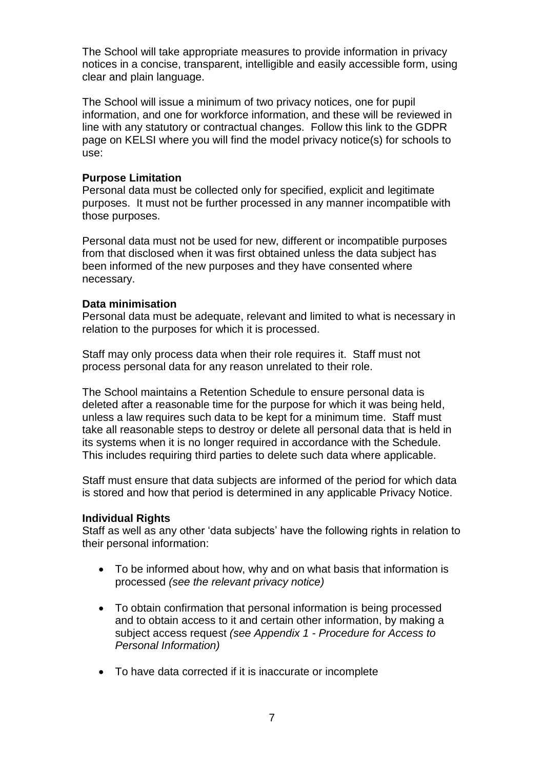The School will take appropriate measures to provide information in privacy notices in a concise, transparent, intelligible and easily accessible form, using clear and plain language.

The School will issue a minimum of two privacy notices, one for pupil information, and one for workforce information, and these will be reviewed in line with any statutory or contractual changes. Follow this link to the GDPR page on KELSI where you will find the model privacy notice(s) for schools to use:

#### **Purpose Limitation**

Personal data must be collected only for specified, explicit and legitimate purposes. It must not be further processed in any manner incompatible with those purposes.

Personal data must not be used for new, different or incompatible purposes from that disclosed when it was first obtained unless the data subject has been informed of the new purposes and they have consented where necessary.

#### **Data minimisation**

Personal data must be adequate, relevant and limited to what is necessary in relation to the purposes for which it is processed.

Staff may only process data when their role requires it. Staff must not process personal data for any reason unrelated to their role.

The School maintains a Retention Schedule to ensure personal data is deleted after a reasonable time for the purpose for which it was being held, unless a law requires such data to be kept for a minimum time. Staff must take all reasonable steps to destroy or delete all personal data that is held in its systems when it is no longer required in accordance with the Schedule. This includes requiring third parties to delete such data where applicable.

Staff must ensure that data subjects are informed of the period for which data is stored and how that period is determined in any applicable Privacy Notice.

#### **Individual Rights**

Staff as well as any other 'data subjects' have the following rights in relation to their personal information:

- To be informed about how, why and on what basis that information is processed *(see the relevant privacy notice)*
- To obtain confirmation that personal information is being processed and to obtain access to it and certain other information, by making a subject access request *(see Appendix 1 - Procedure for Access to Personal Information)*
- To have data corrected if it is inaccurate or incomplete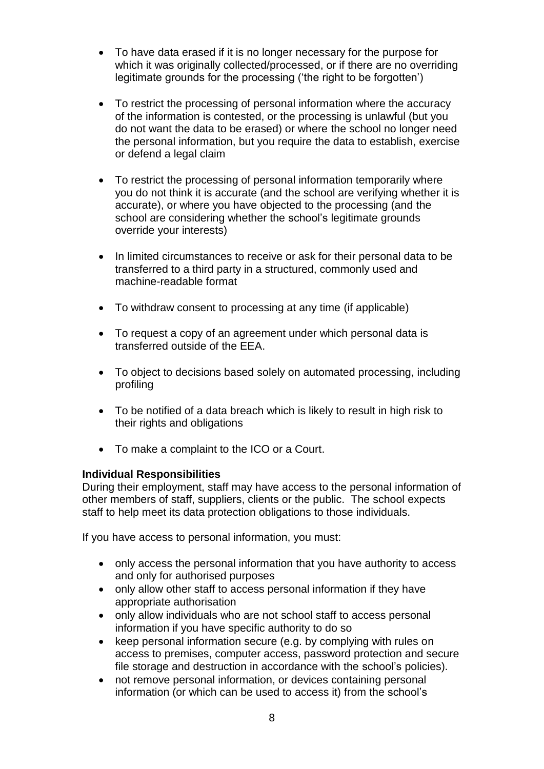- To have data erased if it is no longer necessary for the purpose for which it was originally collected/processed, or if there are no overriding legitimate grounds for the processing ('the right to be forgotten')
- To restrict the processing of personal information where the accuracy of the information is contested, or the processing is unlawful (but you do not want the data to be erased) or where the school no longer need the personal information, but you require the data to establish, exercise or defend a legal claim
- To restrict the processing of personal information temporarily where you do not think it is accurate (and the school are verifying whether it is accurate), or where you have objected to the processing (and the school are considering whether the school's legitimate grounds override your interests)
- In limited circumstances to receive or ask for their personal data to be transferred to a third party in a structured, commonly used and machine-readable format
- To withdraw consent to processing at any time (if applicable)
- To request a copy of an agreement under which personal data is transferred outside of the EEA.
- To object to decisions based solely on automated processing, including profiling
- To be notified of a data breach which is likely to result in high risk to their rights and obligations
- To make a complaint to the ICO or a Court.

#### **Individual Responsibilities**

During their employment, staff may have access to the personal information of other members of staff, suppliers, clients or the public. The school expects staff to help meet its data protection obligations to those individuals.

If you have access to personal information, you must:

- only access the personal information that you have authority to access and only for authorised purposes
- only allow other staff to access personal information if they have appropriate authorisation
- only allow individuals who are not school staff to access personal information if you have specific authority to do so
- keep personal information secure (e.g. by complying with rules on access to premises, computer access, password protection and secure file storage and destruction in accordance with the school's policies).
- not remove personal information, or devices containing personal information (or which can be used to access it) from the school's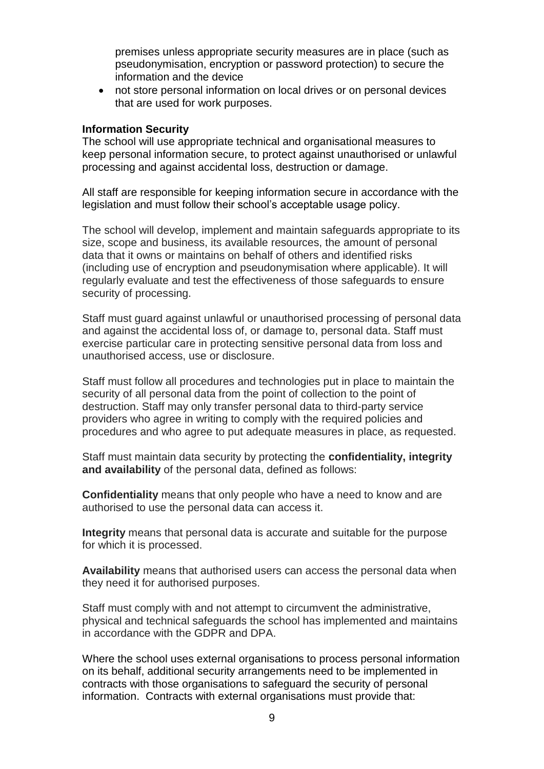premises unless appropriate security measures are in place (such as pseudonymisation, encryption or password protection) to secure the information and the device

 not store personal information on local drives or on personal devices that are used for work purposes.

#### **Information Security**

The school will use appropriate technical and organisational measures to keep personal information secure, to protect against unauthorised or unlawful processing and against accidental loss, destruction or damage.

All staff are responsible for keeping information secure in accordance with the legislation and must follow their school's acceptable usage policy.

The school will develop, implement and maintain safeguards appropriate to its size, scope and business, its available resources, the amount of personal data that it owns or maintains on behalf of others and identified risks (including use of encryption and pseudonymisation where applicable). It will regularly evaluate and test the effectiveness of those safeguards to ensure security of processing.

Staff must guard against unlawful or unauthorised processing of personal data and against the accidental loss of, or damage to, personal data. Staff must exercise particular care in protecting sensitive personal data from loss and unauthorised access, use or disclosure.

Staff must follow all procedures and technologies put in place to maintain the security of all personal data from the point of collection to the point of destruction. Staff may only transfer personal data to third-party service providers who agree in writing to comply with the required policies and procedures and who agree to put adequate measures in place, as requested.

Staff must maintain data security by protecting the **confidentiality, integrity and availability** of the personal data, defined as follows:

**Confidentiality** means that only people who have a need to know and are authorised to use the personal data can access it.

**Integrity** means that personal data is accurate and suitable for the purpose for which it is processed.

**Availability** means that authorised users can access the personal data when they need it for authorised purposes.

Staff must comply with and not attempt to circumvent the administrative, physical and technical safeguards the school has implemented and maintains in accordance with the GDPR and DPA.

Where the school uses external organisations to process personal information on its behalf, additional security arrangements need to be implemented in contracts with those organisations to safeguard the security of personal information. Contracts with external organisations must provide that: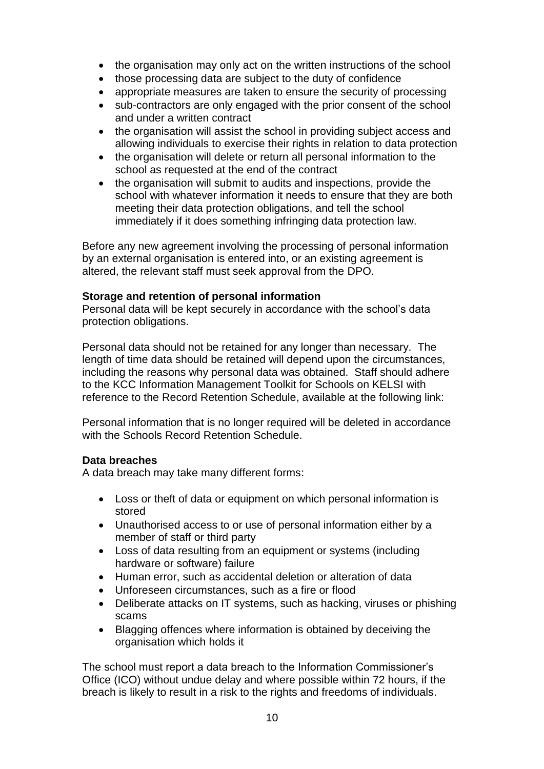- the organisation may only act on the written instructions of the school
- those processing data are subject to the duty of confidence
- appropriate measures are taken to ensure the security of processing
- sub-contractors are only engaged with the prior consent of the school and under a written contract
- the organisation will assist the school in providing subject access and allowing individuals to exercise their rights in relation to data protection
- the organisation will delete or return all personal information to the school as requested at the end of the contract
- the organisation will submit to audits and inspections, provide the school with whatever information it needs to ensure that they are both meeting their data protection obligations, and tell the school immediately if it does something infringing data protection law.

Before any new agreement involving the processing of personal information by an external organisation is entered into, or an existing agreement is altered, the relevant staff must seek approval from the DPO.

#### **Storage and retention of personal information**

Personal data will be kept securely in accordance with the school's data protection obligations.

Personal data should not be retained for any longer than necessary. The length of time data should be retained will depend upon the circumstances, including the reasons why personal data was obtained. Staff should adhere to the KCC Information Management Toolkit for Schools on KELSI with reference to the Record Retention Schedule, available at the following link:

Personal information that is no longer required will be deleted in accordance with the Schools Record Retention Schedule.

#### **Data breaches**

A data breach may take many different forms:

- Loss or theft of data or equipment on which personal information is stored
- Unauthorised access to or use of personal information either by a member of staff or third party
- Loss of data resulting from an equipment or systems (including hardware or software) failure
- Human error, such as accidental deletion or alteration of data
- Unforeseen circumstances, such as a fire or flood
- Deliberate attacks on IT systems, such as hacking, viruses or phishing scams
- Blagging offences where information is obtained by deceiving the organisation which holds it

The school must report a data breach to the Information Commissioner's Office (ICO) without undue delay and where possible within 72 hours, if the breach is likely to result in a risk to the rights and freedoms of individuals.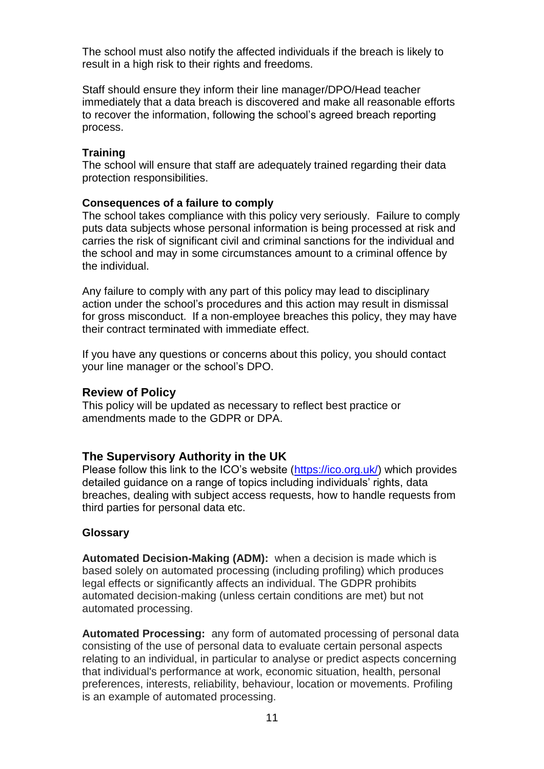The school must also notify the affected individuals if the breach is likely to result in a high risk to their rights and freedoms.

Staff should ensure they inform their line manager/DPO/Head teacher immediately that a data breach is discovered and make all reasonable efforts to recover the information, following the school's agreed breach reporting process.

#### **Training**

The school will ensure that staff are adequately trained regarding their data protection responsibilities.

#### **Consequences of a failure to comply**

The school takes compliance with this policy very seriously. Failure to comply puts data subjects whose personal information is being processed at risk and carries the risk of significant civil and criminal sanctions for the individual and the school and may in some circumstances amount to a criminal offence by the individual.

Any failure to comply with any part of this policy may lead to disciplinary action under the school's procedures and this action may result in dismissal for gross misconduct. If a non-employee breaches this policy, they may have their contract terminated with immediate effect.

If you have any questions or concerns about this policy, you should contact your line manager or the school's DPO.

#### **Review of Policy**

This policy will be updated as necessary to reflect best practice or amendments made to the GDPR or DPA.

#### **The Supervisory Authority in the UK**

Please follow this link to the ICO's website [\(https://ico.org.uk/\)](https://ico.org.uk/) which provides detailed guidance on a range of topics including individuals' rights, data breaches, dealing with subject access requests, how to handle requests from third parties for personal data etc.

#### **Glossary**

**Automated Decision-Making (ADM):** when a decision is made which is based solely on automated processing (including profiling) which produces legal effects or significantly affects an individual. The GDPR prohibits automated decision-making (unless certain conditions are met) but not automated processing.

**Automated Processing:** any form of automated processing of personal data consisting of the use of personal data to evaluate certain personal aspects relating to an individual, in particular to analyse or predict aspects concerning that individual's performance at work, economic situation, health, personal preferences, interests, reliability, behaviour, location or movements. Profiling is an example of automated processing.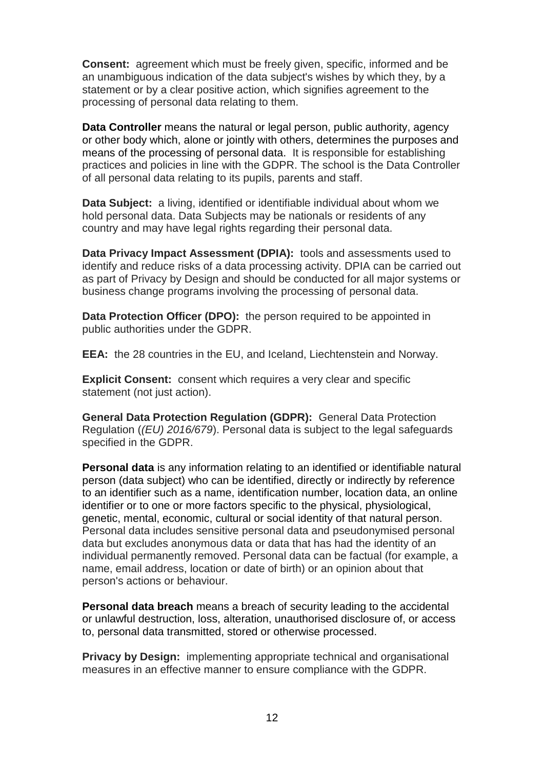**Consent:** agreement which must be freely given, specific, informed and be an unambiguous indication of the data subject's wishes by which they, by a statement or by a clear positive action, which signifies agreement to the processing of personal data relating to them.

**Data Controller** means the natural or legal person, public authority, agency or other body which, alone or jointly with others, determines the purposes and means of the processing of personal data. It is responsible for establishing practices and policies in line with the GDPR. The school is the Data Controller of all personal data relating to its pupils, parents and staff.

**Data Subject:** a living, identified or identifiable individual about whom we hold personal data. Data Subjects may be nationals or residents of any country and may have legal rights regarding their personal data.

**Data Privacy Impact Assessment (DPIA):** tools and assessments used to identify and reduce risks of a data processing activity. DPIA can be carried out as part of Privacy by Design and should be conducted for all major systems or business change programs involving the processing of personal data.

**Data Protection Officer (DPO):** the person required to be appointed in public authorities under the GDPR.

**EEA:** the 28 countries in the EU, and Iceland, Liechtenstein and Norway.

**Explicit Consent:** consent which requires a very clear and specific statement (not just action).

**General Data Protection Regulation (GDPR):** General Data Protection Regulation (*(EU) 2016/679*). Personal data is subject to the legal safeguards specified in the GDPR.

**Personal data** is any information relating to an identified or identifiable natural person (data subject) who can be identified, directly or indirectly by reference to an identifier such as a name, identification number, location data, an online identifier or to one or more factors specific to the physical, physiological, genetic, mental, economic, cultural or social identity of that natural person. Personal data includes sensitive personal data and pseudonymised personal data but excludes anonymous data or data that has had the identity of an individual permanently removed. Personal data can be factual (for example, a name, email address, location or date of birth) or an opinion about that person's actions or behaviour.

**Personal data breach** means a breach of security leading to the accidental or unlawful destruction, loss, alteration, unauthorised disclosure of, or access to, personal data transmitted, stored or otherwise processed.

**Privacy by Design:** implementing appropriate technical and organisational measures in an effective manner to ensure compliance with the GDPR.